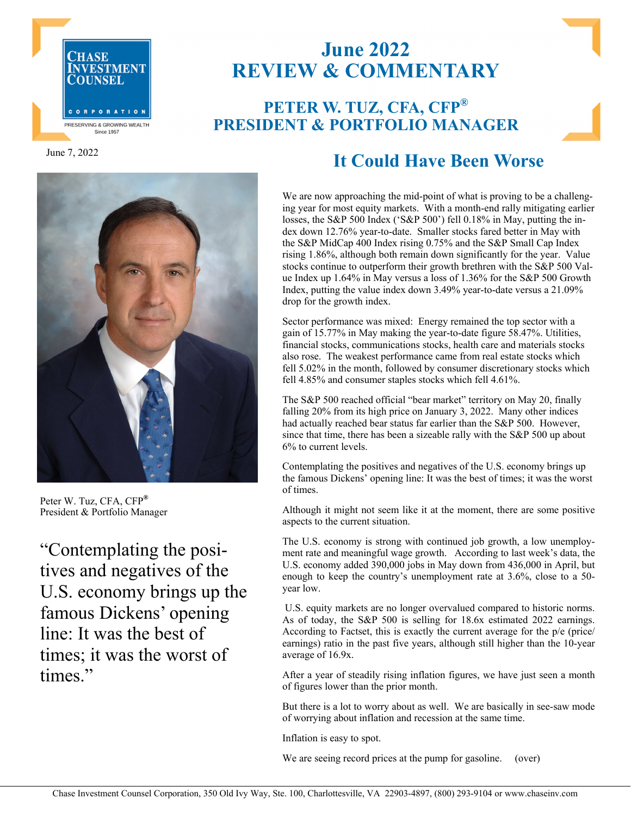

June 7, 2022



Peter W. Tuz, CFA, CFP**®** President & Portfolio Manager

"Contemplating the positives and negatives of the U.S. economy brings up the famous Dickens' opening line: It was the best of times; it was the worst of times."

## **June 2022 REVIEW & COMMENTARY**

## **PETER W. TUZ, CFA, CFP® PRESIDENT & PORTFOLIO MANAGER**

## **It Could Have Been Worse**

We are now approaching the mid-point of what is proving to be a challenging year for most equity markets. With a month-end rally mitigating earlier losses, the S&P 500 Index ('S&P 500') fell 0.18% in May, putting the index down 12.76% year-to-date. Smaller stocks fared better in May with the S&P MidCap 400 Index rising 0.75% and the S&P Small Cap Index rising 1.86%, although both remain down significantly for the year. Value stocks continue to outperform their growth brethren with the S&P 500 Value Index up 1.64% in May versus a loss of 1.36% for the S&P 500 Growth Index, putting the value index down 3.49% year-to-date versus a 21.09% drop for the growth index.

Sector performance was mixed: Energy remained the top sector with a gain of 15.77% in May making the year-to-date figure 58.47%. Utilities, financial stocks, communications stocks, health care and materials stocks also rose. The weakest performance came from real estate stocks which fell 5.02% in the month, followed by consumer discretionary stocks which fell 4.85% and consumer staples stocks which fell 4.61%.

The S&P 500 reached official "bear market" territory on May 20, finally falling 20% from its high price on January 3, 2022. Many other indices had actually reached bear status far earlier than the S&P 500. However, since that time, there has been a sizeable rally with the S&P 500 up about 6% to current levels.

Contemplating the positives and negatives of the U.S. economy brings up the famous Dickens' opening line: It was the best of times; it was the worst of times.

Although it might not seem like it at the moment, there are some positive aspects to the current situation.

The U.S. economy is strong with continued job growth, a low unemployment rate and meaningful wage growth. According to last week's data, the U.S. economy added 390,000 jobs in May down from 436,000 in April, but enough to keep the country's unemployment rate at 3.6%, close to a 50 year low.

 U.S. equity markets are no longer overvalued compared to historic norms. As of today, the S&P 500 is selling for 18.6x estimated 2022 earnings. According to Factset, this is exactly the current average for the p/e (price/ earnings) ratio in the past five years, although still higher than the 10-year average of 16.9x.

After a year of steadily rising inflation figures, we have just seen a month of figures lower than the prior month.

But there is a lot to worry about as well. We are basically in see-saw mode of worrying about inflation and recession at the same time.

Inflation is easy to spot.

We are seeing record prices at the pump for gasoline. (over)